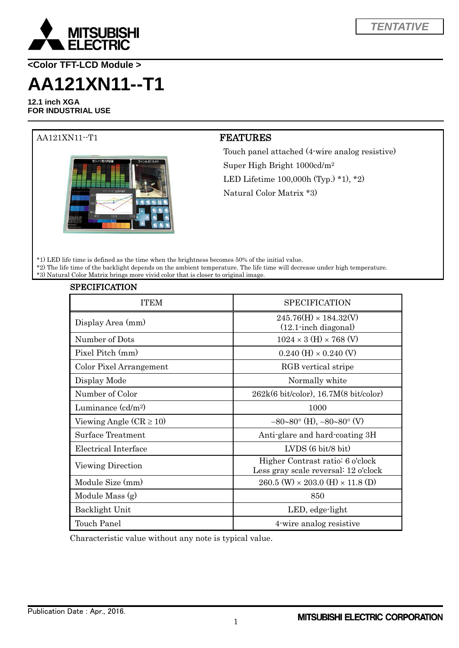

**<Color TFT-LCD Module >**

# **AA121XN11--T1**

**12.1 inch XGA FOR INDUSTRIAL USE**



SPECIFICATION

### AA121XN11--T1 **FEATURES**

Touch panel attached (4-wire analog resistive) Super High Bright 1000cd/m<sup>2</sup> LED Lifetime 100,000h (Typ.) \*1), \*2) Natural Color Matrix \*3)

\*1) LED life time is defined as the time when the brightness becomes 50% of the initial value. \*2) The life time of the backlight depends on the ambient temperature. The life time will decrease under high temperature. \*3) Natural Color Matrix brings more vivid color that is closer to original image.

| SPECIFICATION               |                                                                          |
|-----------------------------|--------------------------------------------------------------------------|
| <b>ITEM</b>                 | <b>SPECIFICATION</b>                                                     |
| Display Area (mm)           | $245.76(H) \times 184.32(V)$<br>$(12.1 \cdot \text{inch diagonal})$      |
| Number of Dots              | $1024\times3$ (H) $\times$ 768 (V)                                       |
| Pixel Pitch (mm)            | $0.240$ (H) $\times$ 0.240 (V)                                           |
| Color Pixel Arrangement     | RGB vertical stripe                                                      |
| Display Mode                | Normally white                                                           |
| Number of Color             | $262k(6 \text{ bit/color})$ , 16.7M $(8 \text{ bit/color})$              |
| Luminance $\text{(cd/m2)}$  | 1000                                                                     |
| Viewing Angle $(CR \ge 10)$ | $-80-80^{\circ}$ (H), $-80-80^{\circ}$ (V)                               |
| Surface Treatment           | Anti-glare and hard-coating 3H                                           |
| Electrical Interface        | $LVDS(6 \text{ bit/8 bit})$                                              |
| Viewing Direction           | Higher Contrast ratio: 6 o'clock<br>Less gray scale reversal: 12 o'clock |
| Module Size (mm)            | $260.5$ (W) $\times$ 203.0 (H) $\times$ 11.8 (D)                         |
| Module Mass (g)             | 850                                                                      |
| Backlight Unit              | LED, edge-light                                                          |
| <b>Touch Panel</b>          | 4-wire analog resistive                                                  |

Characteristic value without any note is typical value.